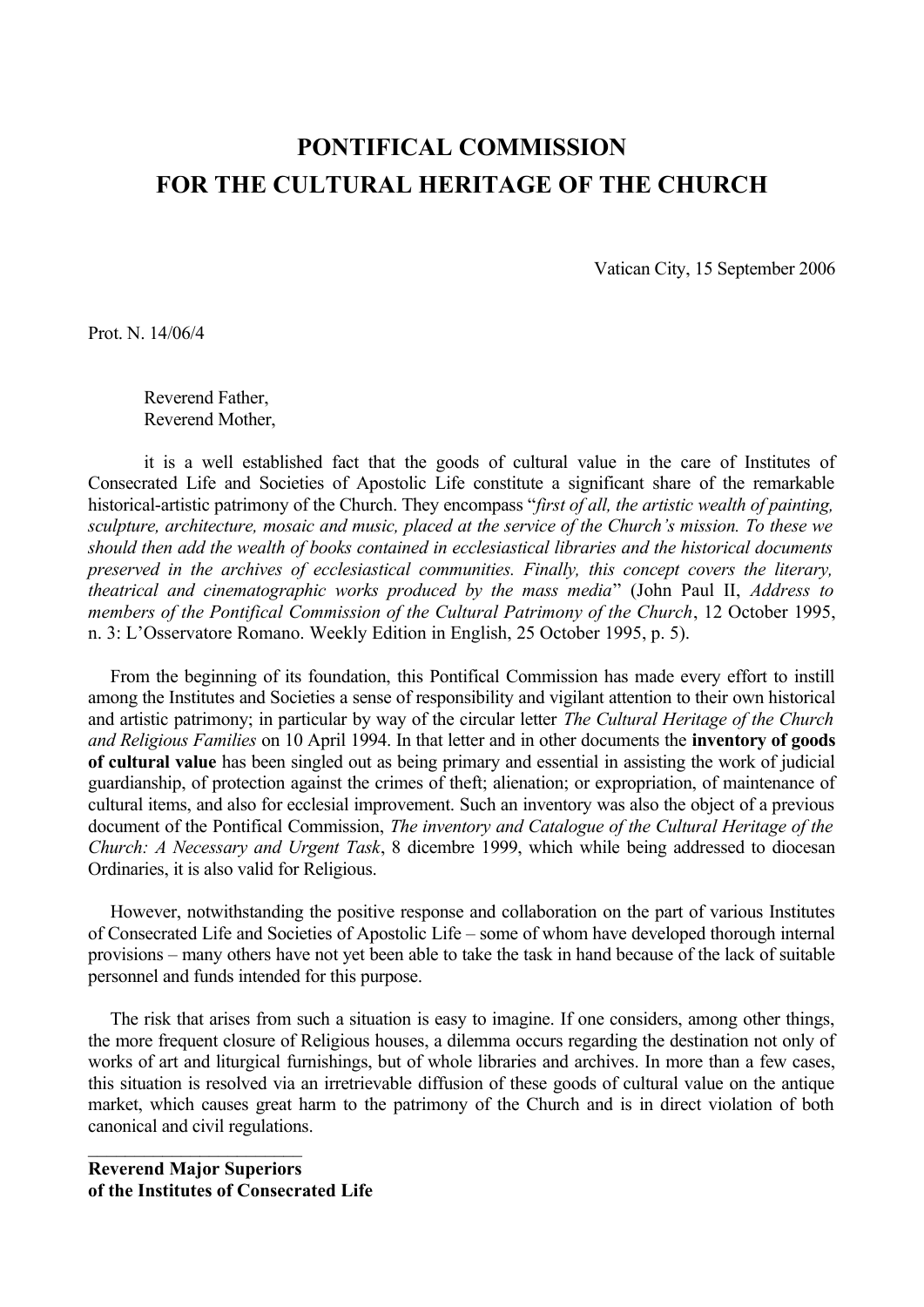## **PONTIFICAL COMMISSION FOR THE CULTURAL HERITAGE OF THE CHURCH**

Vatican City, 15 September 2006

Prot. N. 14/06/4

Reverend Father, Reverend Mother,

it is a well established fact that the goods of cultural value in the care of Institutes of Consecrated Life and Societies of Apostolic Life constitute a significant share of the remarkable historical-artistic patrimony of the Church. They encompass "*first of all, the artistic wealth of painting, sculpture, architecture, mosaic and music, placed at the service of the Church's mission. To these we should then add the wealth of books contained in ecclesiastical libraries and the historical documents preserved in the archives of ecclesiastical communities. Finally, this concept covers the literary, theatrical and cinematographic works produced by the mass media*" (John Paul II, *Address to members of the Pontifical Commission of the Cultural Patrimony of the Church*, 12 October 1995, n. 3: L'Osservatore Romano. Weekly Edition in English, 25 October 1995, p. 5).

From the beginning of its foundation, this Pontifical Commission has made every effort to instill among the Institutes and Societies a sense of responsibility and vigilant attention to their own historical and artistic patrimony; in particular by way of the circular letter *The Cultural Heritage of the Church and Religious Families* on 10 April 1994. In that letter and in other documents the **inventory of goods of cultural value** has been singled out as being primary and essential in assisting the work of judicial guardianship, of protection against the crimes of theft; alienation; or expropriation, of maintenance of cultural items, and also for ecclesial improvement. Such an inventory was also the object of a previous document of the Pontifical Commission, *The inventory and Catalogue of the Cultural Heritage of the Church: A Necessary and Urgent Task*, 8 dicembre 1999, which while being addressed to diocesan Ordinaries, it is also valid for Religious.

However, notwithstanding the positive response and collaboration on the part of various Institutes of Consecrated Life and Societies of Apostolic Life – some of whom have developed thorough internal provisions – many others have not yet been able to take the task in hand because of the lack of suitable personnel and funds intended for this purpose.

The risk that arises from such a situation is easy to imagine. If one considers, among other things, the more frequent closure of Religious houses, a dilemma occurs regarding the destination not only of works of art and liturgical furnishings, but of whole libraries and archives. In more than a few cases, this situation is resolved via an irretrievable diffusion of these goods of cultural value on the antique market, which causes great harm to the patrimony of the Church and is in direct violation of both canonical and civil regulations.

**Reverend Major Superiors of the Institutes of Consecrated Life**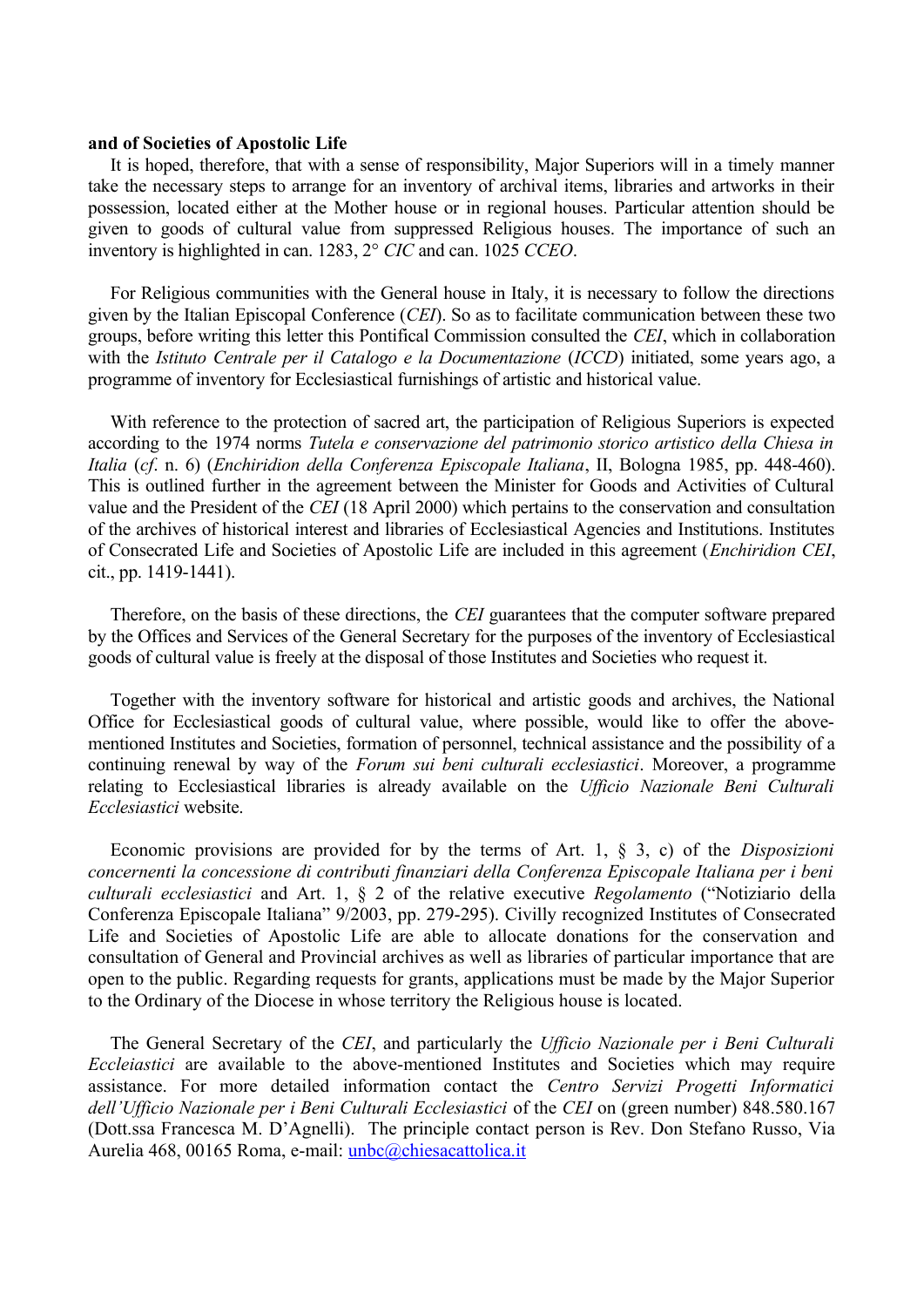## **and of Societies of Apostolic Life**

It is hoped, therefore, that with a sense of responsibility, Major Superiors will in a timely manner take the necessary steps to arrange for an inventory of archival items, libraries and artworks in their possession, located either at the Mother house or in regional houses. Particular attention should be given to goods of cultural value from suppressed Religious houses. The importance of such an inventory is highlighted in can. 1283, 2° *CIC* and can. 1025 *CCEO*.

For Religious communities with the General house in Italy, it is necessary to follow the directions given by the Italian Episcopal Conference (*CEI*). So as to facilitate communication between these two groups, before writing this letter this Pontifical Commission consulted the *CEI*, which in collaboration with the *Istituto Centrale per il Catalogo e la Documentazione* (*ICCD*) initiated, some years ago, a programme of inventory for Ecclesiastical furnishings of artistic and historical value.

With reference to the protection of sacred art, the participation of Religious Superiors is expected according to the 1974 norms *Tutela e conservazione del patrimonio storico artistico della Chiesa in Italia* (*cf*. n. 6) (*Enchiridion della Conferenza Episcopale Italiana*, II, Bologna 1985, pp. 448-460). This is outlined further in the agreement between the Minister for Goods and Activities of Cultural value and the President of the *CEI* (18 April 2000) which pertains to the conservation and consultation of the archives of historical interest and libraries of Ecclesiastical Agencies and Institutions. Institutes of Consecrated Life and Societies of Apostolic Life are included in this agreement (*Enchiridion CEI*, cit., pp. 1419-1441).

Therefore, on the basis of these directions, the *CEI* guarantees that the computer software prepared by the Offices and Services of the General Secretary for the purposes of the inventory of Ecclesiastical goods of cultural value is freely at the disposal of those Institutes and Societies who request it.

Together with the inventory software for historical and artistic goods and archives, the National Office for Ecclesiastical goods of cultural value, where possible, would like to offer the abovementioned Institutes and Societies, formation of personnel, technical assistance and the possibility of a continuing renewal by way of the *Forum sui beni culturali ecclesiastici*. Moreover, a programme relating to Ecclesiastical libraries is already available on the *Ufficio Nazionale Beni Culturali Ecclesiastici* website.

Economic provisions are provided for by the terms of Art. 1, § 3, c) of the *Disposizioni concernenti la concessione di contributi finanziari della Conferenza Episcopale Italiana per i beni culturali ecclesiastici* and Art. 1, § 2 of the relative executive *Regolamento* ("Notiziario della Conferenza Episcopale Italiana" 9/2003, pp. 279-295). Civilly recognized Institutes of Consecrated Life and Societies of Apostolic Life are able to allocate donations for the conservation and consultation of General and Provincial archives as well as libraries of particular importance that are open to the public. Regarding requests for grants, applications must be made by the Major Superior to the Ordinary of the Diocese in whose territory the Religious house is located.

The General Secretary of the *CEI*, and particularly the *Ufficio Nazionale per i Beni Culturali Eccleiastici* are available to the above-mentioned Institutes and Societies which may require assistance. For more detailed information contact the *Centro Servizi Progetti Informatici dell'Ufficio Nazionale per i Beni Culturali Ecclesiastici* of the *CEI* on (green number) 848.580.167 (Dott.ssa Francesca M. D'Agnelli). The principle contact person is Rev. Don Stefano Russo, Via Aurelia 468, 00165 Roma, e-mail: [unbc@chiesacattolica.it](mailto:unbc@chiesacattolica.it)